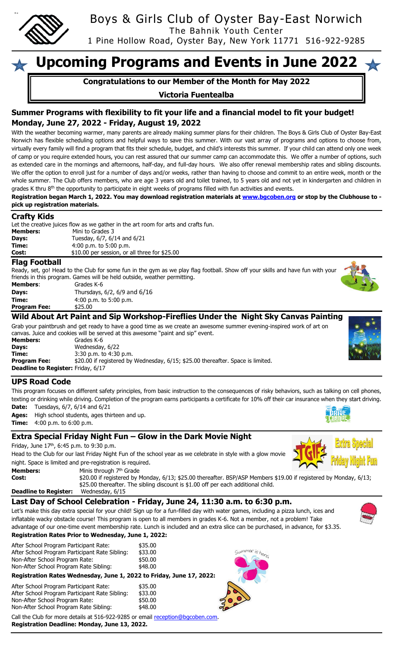

Boys & Girls Club of Oyster Bay-East Norwich

The Bahnik Youth Center

1 Pine Hollow Road, Oyster Bay, New York 11771 516-922-9285

# **Upcoming Programs and Events in June 2022**

**Congratulations to our Member of the Month for May 2022**

## **Victoria Fuentealba**

# **Summer Programs with flexibility to fit your life and a financial model to fit your budget! Monday, June 27, 2022 - Friday, August 19, 2022**

With the weather becoming warmer, many parents are already making summer plans for their children. The Boys & Girls Club of Oyster Bay-East Norwich has flexible scheduling options and helpful ways to save this summer. With our vast array of programs and options to choose from, virtually every family will find a program that fits their schedule, budget, and child's interests this summer. If your child can attend only one week of camp or you require extended hours, you can rest assured that our summer camp can accommodate this. We offer a number of options, such as extended care in the mornings and afternoons, half-day, and full-day hours. We also offer renewal membership rates and sibling discounts. We offer the option to enroll just for a number of days and/or weeks, rather than having to choose and commit to an entire week, month or the whole summer. The Club offers members, who are age 3 years old and toilet trained, to 5 years old and not yet in kindergarten and children in grades K thru 8<sup>th</sup> the opportunity to participate in eight weeks of programs filled with fun activities and events.

**Registration began March 1, 2022. You may download registration materials a[t www.bgcoben.org](http://www.bgcoben.org/) or stop by the Clubhouse to pick up registration materials.**

#### **Crafty Kids**

|                 | Let the creative juices flow as we gather in the art room for arts and crafts fun. |
|-----------------|------------------------------------------------------------------------------------|
| <b>Members:</b> | Mini to Grades 3                                                                   |
| Days:           | Tuesday, 6/7, 6/14 and 6/21                                                        |
| Time:           | $4:00$ p.m. to 5:00 p.m.                                                           |
| Cost:           | \$10.00 per session, or all three for \$25.00                                      |

#### **Flag Football**

Ready, set, go! Head to the Club for some fun in the gym as we play flag football. Show off your skills and have fun with your friends in this program. Games will be held outside, weather permitting. rades K-6

| Members: | Grades K-6                   |
|----------|------------------------------|
| Days:    | Thursdays, 6/2, 6/9 and 6/16 |
| Time:    | $4:00$ p.m. to 5:00 p.m.     |

00 p.m. to 5:00 p.m.

**Program Fee:** \$25.00

**Wild About Art Paint and Sip Workshop-Fireflies Under the Night Sky Canvas Painting** 

Grab your paintbrush and get ready to have a good time as we create an awesome summer evening-inspired work of art on canvas. Juice and cookies will be served at this awesome "paint and sip" event.

**Members:** Grades K-6 **Days:** Wednesday, 6/22 **Time:** 3:30 p.m. to 4:30 p.m. **Program Fee:**  $$20.00$  if registered by Wednesday, 6/15; \$25.00 thereafter. Space is limited. **Deadline to Register:** Friday, 6/17

## **UPS Road Code**

This program focuses on different safety principles, from basic instruction to the consequences of risky behaviors, such as talking on cell phones, texting or drinking while driving. Completion of the program earns participants a certificate for 10% off their car insurance when they start driving.

**Date:** Tuesdays, 6/7, 6/14 and 6/21

**Ages:** High school students, ages thirteen and up. **Time:** 4:00 p.m. to 6:00 p.m.

## **Extra Special Friday Night Fun – Glow in the Dark Movie Night**

Friday, June  $17<sup>th</sup>$ , 6:45 p.m. to 9:30 p.m.

Head to the Club for our last Friday Night Fun of the school year as we celebrate in style with a glow movie night. Space is limited and pre-registration is required.

|                              |                                                                                                                                                                                                        | $\mathbf{v}$ $\mathbf{v}$ |
|------------------------------|--------------------------------------------------------------------------------------------------------------------------------------------------------------------------------------------------------|---------------------------|
| <b>Members:</b>              | Minis through 7 <sup>th</sup> Grade                                                                                                                                                                    |                           |
| Cost:                        | \$20.00 if registered by Monday, 6/13; \$25.00 thereafter. BSP/ASP Members \$19.00 if registered by Monday, 6/13;<br>\$25.00 thereafter. The sibling discount is \$1.00 off per each additional child. |                           |
| <b>Deadline to Register:</b> | Wednesday, 6/15                                                                                                                                                                                        |                           |

mmer is here!

# **Last Day of School Celebration - Friday, June 24, 11:30 a.m. to 6:30 p.m.**

Let's make this day extra special for your child! Sign up for a fun-filled day with water games, including a pizza lunch, ices and inflatable wacky obstacle course! This program is open to all members in grades K-6. Not a member, not a problem! Take advantage of our one-time event membership rate. Lunch is included and an extra slice can be purchased, in advance, for \$3.35.

#### **Registration Rates Prior to Wednesday, June 1, 2022:**

After School Program Participant Rate: \$35.00 After School Program Participant Rate Sibling: \$33.00 Non-After School Program Rate: \$50.00 Non-After School Program Rate Sibling: \$48.00

**Registration Rates Wednesday, June 1, 2022 to Friday, June 17, 2022:**

| After School Program Participant Rate:         | \$35.00 |
|------------------------------------------------|---------|
| After School Program Participant Rate Sibling: | \$33.00 |
| Non-After School Program Rate:                 | \$50.00 |
| Non-After School Program Rate Sibling:         | \$48.00 |

Call the Club for more details at 516-922-9285 or email [reception@bgcoben.com.](mailto:reception@bgcoben.com)

**Registration Deadline: Monday, June 13, 2022.**